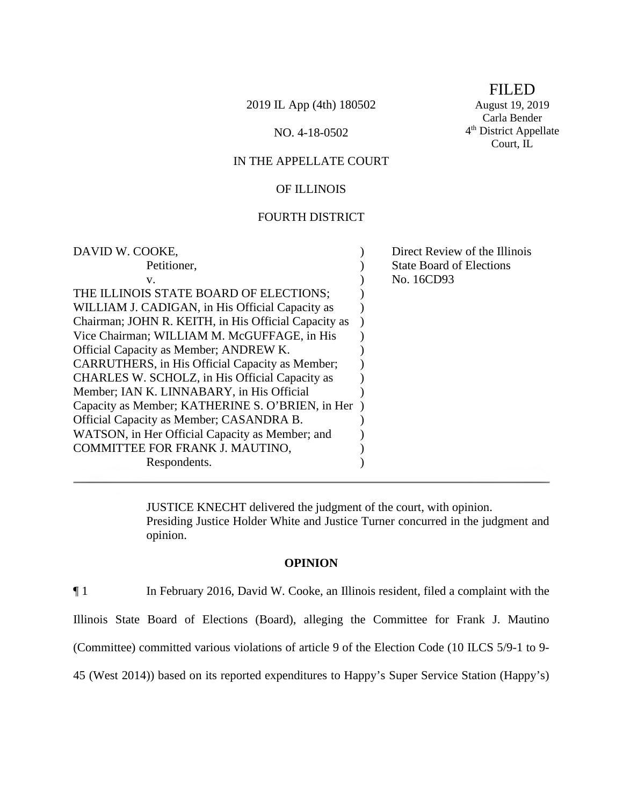2019 IL App (4th) 180502 August 19, 2019

IN THE APPELLATE COURT

# OF ILLINOIS

#### FOURTH DISTRICT

| DAVID W. COOKE,                                      | Direct Review of the Illinois   |
|------------------------------------------------------|---------------------------------|
| Petitioner,                                          | <b>State Board of Elections</b> |
| $V_{-}$                                              | No. 16CD93                      |
| THE ILLINOIS STATE BOARD OF ELECTIONS;               |                                 |
| WILLIAM J. CADIGAN, in His Official Capacity as      |                                 |
| Chairman; JOHN R. KEITH, in His Official Capacity as |                                 |
| Vice Chairman; WILLIAM M. McGUFFAGE, in His          |                                 |
| Official Capacity as Member; ANDREW K.               |                                 |
| CARRUTHERS, in His Official Capacity as Member;      |                                 |
| CHARLES W. SCHOLZ, in His Official Capacity as       |                                 |
| Member; IAN K. LINNABARY, in His Official            |                                 |
| Capacity as Member; KATHERINE S. O'BRIEN, in Her)    |                                 |
| Official Capacity as Member; CASANDRA B.             |                                 |
| WATSON, in Her Official Capacity as Member; and      |                                 |
| COMMITTEE FOR FRANK J. MAUTINO,                      |                                 |
| Respondents.                                         |                                 |
|                                                      |                                 |

JUSTICE KNECHT delivered the judgment of the court, with opinion. Presiding Justice Holder White and Justice Turner concurred in the judgment and opinion.

#### **OPINION**

¶ 1 In February 2016, David W. Cooke, an Illinois resident, filed a complaint with the

Illinois State Board of Elections (Board), alleging the Committee for Frank J. Mautino

(Committee) committed various violations of article 9 of the Election Code (10 ILCS 5/9-1 to 9-

45 (West 2014)) based on its reported expenditures to Happy's Super Service Station (Happy's)

FILED

Carla Bender NO. 4-18-0502 4<sup>th</sup> District Appellate Court, IL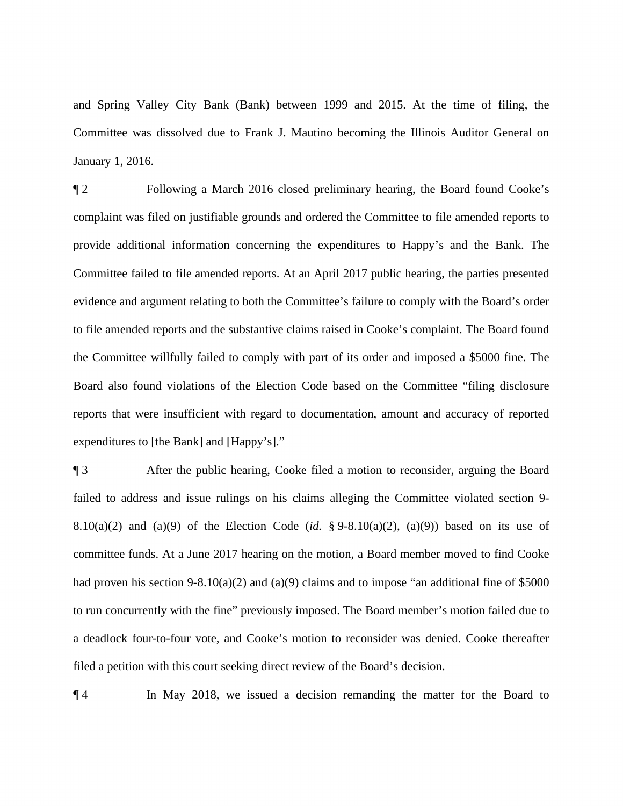and Spring Valley City Bank (Bank) between 1999 and 2015. At the time of filing, the Committee was dissolved due to Frank J. Mautino becoming the Illinois Auditor General on January 1, 2016.

 to file amended reports and the substantive claims raised in Cooke's complaint. The Board found expenditures to [the Bank] and [Happy's]." ¶ 2 Following a March 2016 closed preliminary hearing, the Board found Cooke's complaint was filed on justifiable grounds and ordered the Committee to file amended reports to provide additional information concerning the expenditures to Happy's and the Bank. The Committee failed to file amended reports. At an April 2017 public hearing, the parties presented evidence and argument relating to both the Committee's failure to comply with the Board's order the Committee willfully failed to comply with part of its order and imposed a \$5000 fine. The Board also found violations of the Election Code based on the Committee "filing disclosure reports that were insufficient with regard to documentation, amount and accuracy of reported

13 After the public hearing, Cooke filed a motion to reconsider, arguing the Board failed to address and issue rulings on his claims alleging the Committee violated section 9- 8.10(a)(2) and (a)(9) of the Election Code (*id.* § 9-8.10(a)(2), (a)(9)) based on its use of committee funds. At a June 2017 hearing on the motion, a Board member moved to find Cooke had proven his section 9-8.10(a)(2) and (a)(9) claims and to impose "an additional fine of \$5000 to run concurrently with the fine" previously imposed. The Board member's motion failed due to a deadlock four-to-four vote, and Cooke's motion to reconsider was denied. Cooke thereafter filed a petition with this court seeking direct review of the Board's decision.

¶ 4 In May 2018, we issued a decision remanding the matter for the Board to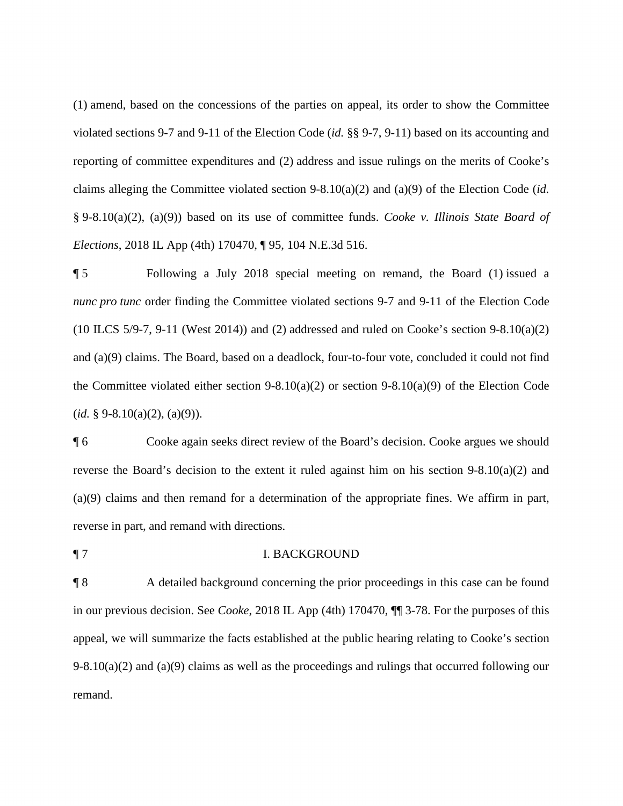reporting of committee expenditures and (2) address and issue rulings on the merits of Cooke's (1) amend, based on the concessions of the parties on appeal, its order to show the Committee violated sections 9-7 and 9-11 of the Election Code (*id.* §§ 9-7, 9-11) based on its accounting and claims alleging the Committee violated section 9-8.10(a)(2) and (a)(9) of the Election Code (*id.*  § 9-8.10(a)(2), (a)(9)) based on its use of committee funds. *Cooke v. Illinois State Board of Elections*, 2018 IL App (4th) 170470, ¶ 95, 104 N.E.3d 516.

 (10 ILCS 5/9-7, 9-11 (West 2014)) and (2) addressed and ruled on Cooke's section 9-8.10(a)(2) ¶ 5 Following a July 2018 special meeting on remand, the Board (1) issued a *nunc pro tunc* order finding the Committee violated sections 9-7 and 9-11 of the Election Code and (a)(9) claims. The Board, based on a deadlock, four-to-four vote, concluded it could not find the Committee violated either section  $9-8.10(a)(2)$  or section  $9-8.10(a)(9)$  of the Election Code (*id.* § 9-8.10(a)(2), (a)(9)).

¶ 6 Cooke again seeks direct review of the Board's decision. Cooke argues we should reverse the Board's decision to the extent it ruled against him on his section 9-8.10(a)(2) and (a)(9) claims and then remand for a determination of the appropriate fines. We affirm in part, reverse in part, and remand with directions.

¶ 7 I. BACKGROUND

¶ 8 A detailed background concerning the prior proceedings in this case can be found in our previous decision. See *Cooke*, 2018 IL App (4th) 170470, ¶¶ 3-78. For the purposes of this appeal, we will summarize the facts established at the public hearing relating to Cooke's section  $9-8.10(a)(2)$  and  $(a)(9)$  claims as well as the proceedings and rulings that occurred following our remand.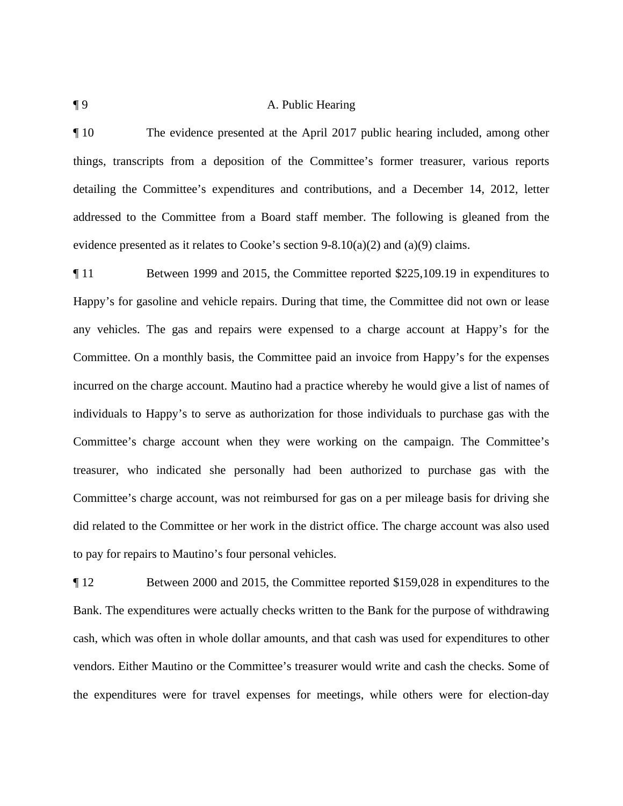#### ¶ 9 A. Public Hearing

¶ 10 The evidence presented at the April 2017 public hearing included, among other things, transcripts from a deposition of the Committee's former treasurer, various reports detailing the Committee's expenditures and contributions, and a December 14, 2012, letter addressed to the Committee from a Board staff member. The following is gleaned from the evidence presented as it relates to Cooke's section  $9-8.10(a)(2)$  and  $(a)(9)$  claims.

 any vehicles. The gas and repairs were expensed to a charge account at Happy's for the ¶ 11 Between 1999 and 2015, the Committee reported \$[225,109.19](https://225,109.19) in expenditures to Happy's for gasoline and vehicle repairs. During that time, the Committee did not own or lease Committee. On a monthly basis, the Committee paid an invoice from Happy's for the expenses incurred on the charge account. Mautino had a practice whereby he would give a list of names of individuals to Happy's to serve as authorization for those individuals to purchase gas with the Committee's charge account when they were working on the campaign. The Committee's treasurer, who indicated she personally had been authorized to purchase gas with the Committee's charge account, was not reimbursed for gas on a per mileage basis for driving she did related to the Committee or her work in the district office. The charge account was also used to pay for repairs to Mautino's four personal vehicles.

 Bank. The expenditures were actually checks written to the Bank for the purpose of withdrawing the expenditures were for travel expenses for meetings, while others were for election-day ¶ 12 Between 2000 and 2015, the Committee reported \$159,028 in expenditures to the cash, which was often in whole dollar amounts, and that cash was used for expenditures to other vendors. Either Mautino or the Committee's treasurer would write and cash the checks. Some of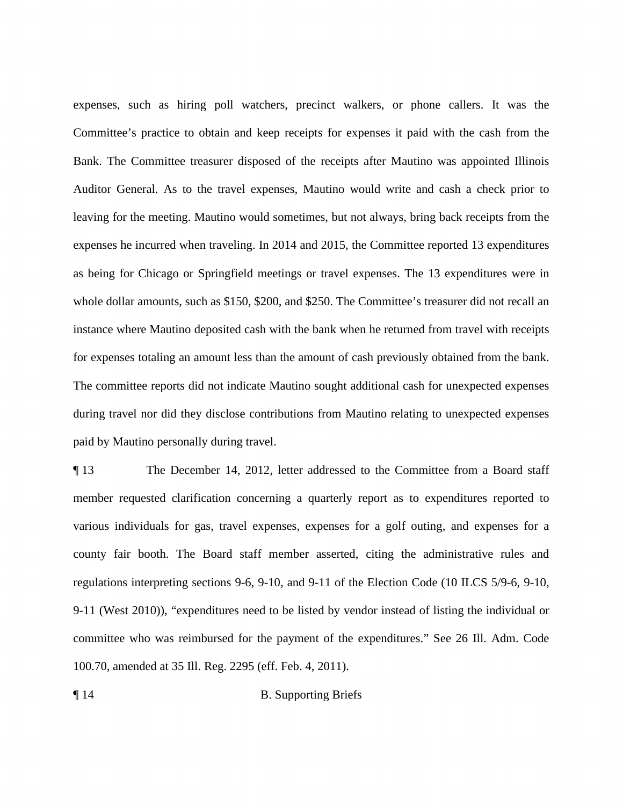whole dollar amounts, such as \$150, \$200, and \$250. The Committee's treasurer did not recall an expenses, such as hiring poll watchers, precinct walkers, or phone callers. It was the Committee's practice to obtain and keep receipts for expenses it paid with the cash from the Bank. The Committee treasurer disposed of the receipts after Mautino was appointed Illinois Auditor General. As to the travel expenses, Mautino would write and cash a check prior to leaving for the meeting. Mautino would sometimes, but not always, bring back receipts from the expenses he incurred when traveling. In 2014 and 2015, the Committee reported 13 expenditures as being for Chicago or Springfield meetings or travel expenses. The 13 expenditures were in instance where Mautino deposited cash with the bank when he returned from travel with receipts for expenses totaling an amount less than the amount of cash previously obtained from the bank. The committee reports did not indicate Mautino sought additional cash for unexpected expenses during travel nor did they disclose contributions from Mautino relating to unexpected expenses paid by Mautino personally during travel.

¶ 13 The December 14, 2012, letter addressed to the Committee from a Board staff member requested clarification concerning a quarterly report as to expenditures reported to various individuals for gas, travel expenses, expenses for a golf outing, and expenses for a county fair booth. The Board staff member asserted, citing the administrative rules and regulations interpreting sections 9-6, 9-10, and 9-11 of the Election Code (10 ILCS 5/9-6, 9-10, 9-11 (West 2010)), "expenditures need to be listed by vendor instead of listing the individual or committee who was reimbursed for the payment of the expenditures." See 26 Ill. Adm. Code 100.70, amended at 35 Ill. Reg. 2295 (eff. Feb. 4, 2011).

¶ 14 B. Supporting Briefs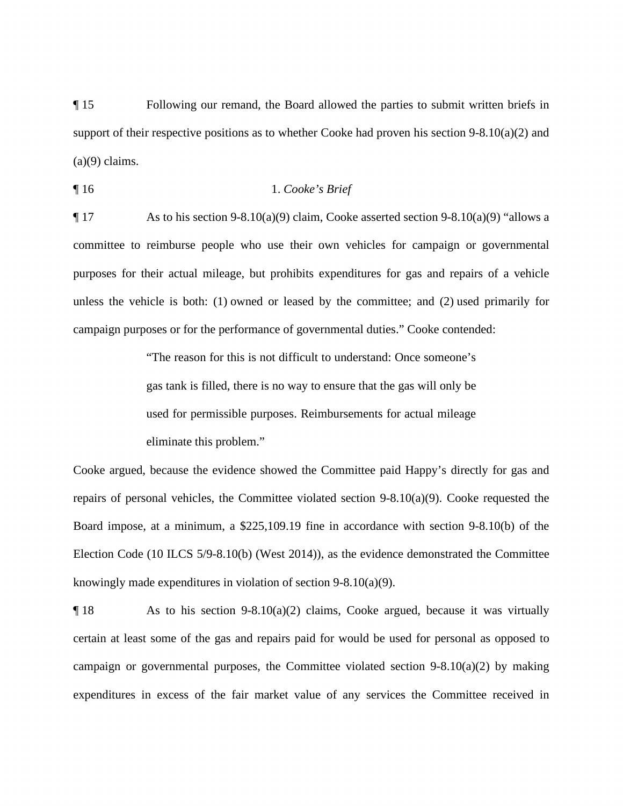¶ 15 Following our remand, the Board allowed the parties to submit written briefs in support of their respective positions as to whether Cooke had proven his section 9-8.10(a)(2) and  $(a)(9)$  claims.

$$
\P 16 \t 1. \text{Cooke's Brief}
$$

 purposes for their actual mileage, but prohibits expenditures for gas and repairs of a vehicle unless the vehicle is both: (1) owned or leased by the committee; and (2) used primarily for campaign purposes or for the performance of governmental duties." Cooke contended:  $\P$  17 As to his section 9-8.10(a)(9) claim, Cooke asserted section 9-8.10(a)(9) "allows a committee to reimburse people who use their own vehicles for campaign or governmental

> "The reason for this is not difficult to understand: Once someone's gas tank is filled, there is no way to ensure that the gas will only be used for permissible purposes. Reimbursements for actual mileage eliminate this problem."

 repairs of personal vehicles, the Committee violated section 9-8.10(a)(9). Cooke requested the Cooke argued, because the evidence showed the Committee paid Happy's directly for gas and Board impose, at a minimum, a \$[225,109.19](https://225,109.19) fine in accordance with section 9-8.10(b) of the Election Code (10 ILCS 5/9-8.10(b) (West 2014)), as the evidence demonstrated the Committee knowingly made expenditures in violation of section 9-8.10(a)(9).

 $\P$  18 As to his section 9-8.10(a)(2) claims, Cooke argued, because it was virtually certain at least some of the gas and repairs paid for would be used for personal as opposed to campaign or governmental purposes, the Committee violated section 9-8.10(a)(2) by making expenditures in excess of the fair market value of any services the Committee received in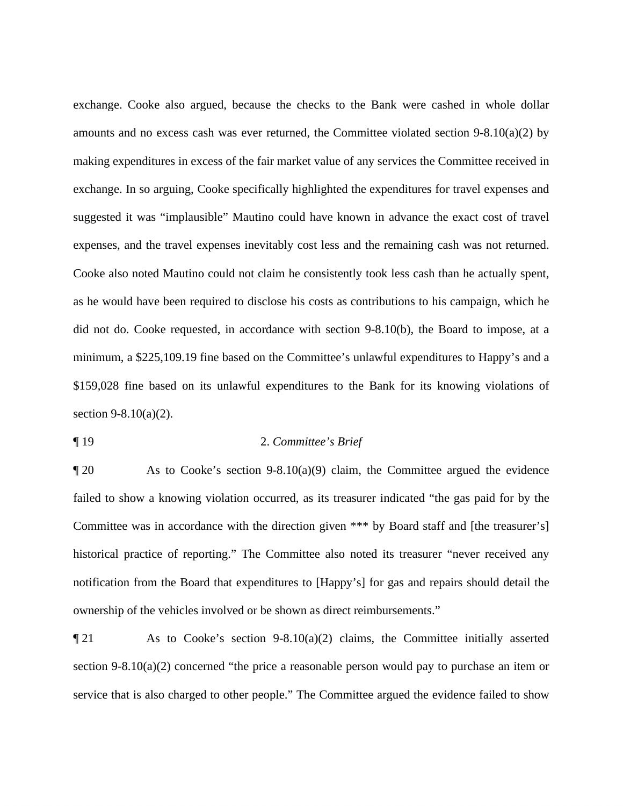exchange. Cooke also argued, because the checks to the Bank were cashed in whole dollar amounts and no excess cash was ever returned, the Committee violated section  $9-8.10(a)(2)$  by making expenditures in excess of the fair market value of any services the Committee received in exchange. In so arguing, Cooke specifically highlighted the expenditures for travel expenses and suggested it was "implausible" Mautino could have known in advance the exact cost of travel expenses, and the travel expenses inevitably cost less and the remaining cash was not returned. Cooke also noted Mautino could not claim he consistently took less cash than he actually spent, as he would have been required to disclose his costs as contributions to his campaign, which he did not do. Cooke requested, in accordance with section 9-8.10(b), the Board to impose, at a minimum, a \$[225,109.19](https://225,109.19) fine based on the Committee's unlawful expenditures to Happy's and a \$159,028 fine based on its unlawful expenditures to the Bank for its knowing violations of section 9-8.10(a)(2).

¶ 19 2. *Committee's Brief* 

¶ 20 As to Cooke's section 9-8.10(a)(9) claim, the Committee argued the evidence failed to show a knowing violation occurred, as its treasurer indicated "the gas paid for by the Committee was in accordance with the direction given \*\*\* by Board staff and [the treasurer's] historical practice of reporting." The Committee also noted its treasurer "never received any notification from the Board that expenditures to [Happy's] for gas and repairs should detail the ownership of the vehicles involved or be shown as direct reimbursements."

section 9-8.10(a)(2) concerned "the price a reasonable person would pay to purchase an item or  $\P$  21 As to Cooke's section 9-8.10(a)(2) claims, the Committee initially asserted service that is also charged to other people." The Committee argued the evidence failed to show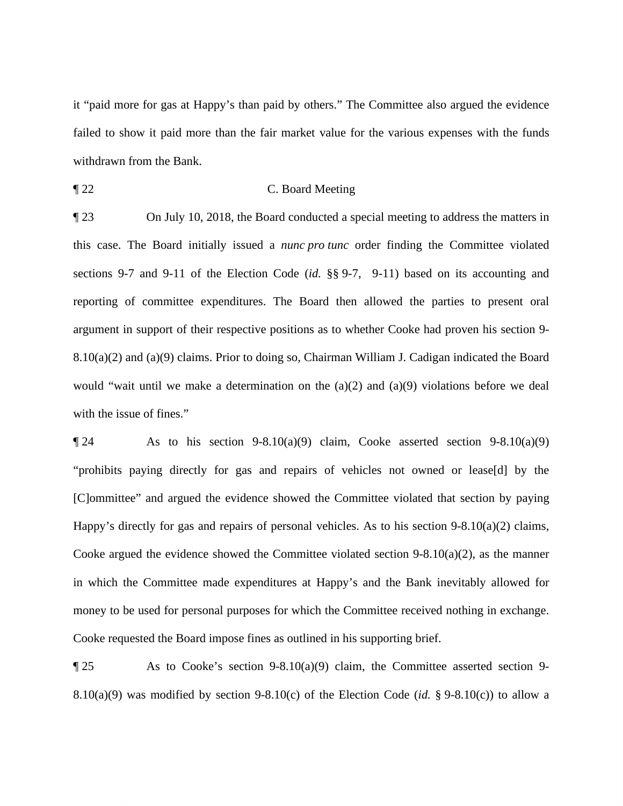it "paid more for gas at Happy's than paid by others." The Committee also argued the evidence failed to show it paid more than the fair market value for the various expenses with the funds withdrawn from the Bank.

¶ 22 C. Board Meeting

 ¶ 23 On July 10, 2018, the Board conducted a special meeting to address the matters in  this case. The Board initially issued a *nunc pro tunc* order finding the Committee violated with the issue of fines." sections 9-7 and 9-11 of the Election Code (*id.* §§ 9-7, 9-11) based on its accounting and reporting of committee expenditures. The Board then allowed the parties to present oral argument in support of their respective positions as to whether Cooke had proven his section 9- 8.10(a)(2) and (a)(9) claims. Prior to doing so, Chairman William J. Cadigan indicated the Board would "wait until we make a determination on the  $(a)(2)$  and  $(a)(9)$  violations before we deal

 in which the Committee made expenditures at Happy's and the Bank inevitably allowed for  $\llbracket 24$  As to his section 9-8.10(a)(9) claim, Cooke asserted section 9-8.10(a)(9) "prohibits paying directly for gas and repairs of vehicles not owned or lease[d] by the [C]ommittee" and argued the evidence showed the Committee violated that section by paying Happy's directly for gas and repairs of personal vehicles. As to his section 9-8.10(a)(2) claims, Cooke argued the evidence showed the Committee violated section  $9-8.10(a)(2)$ , as the manner money to be used for personal purposes for which the Committee received nothing in exchange. Cooke requested the Board impose fines as outlined in his supporting brief.

 8.10(a)(9) was modified by section 9-8.10(c) of the Election Code (*id.* § 9-8.10(c)) to allow a ¶ 25 As to Cooke's section 9-8.10(a)(9) claim, the Committee asserted section 9-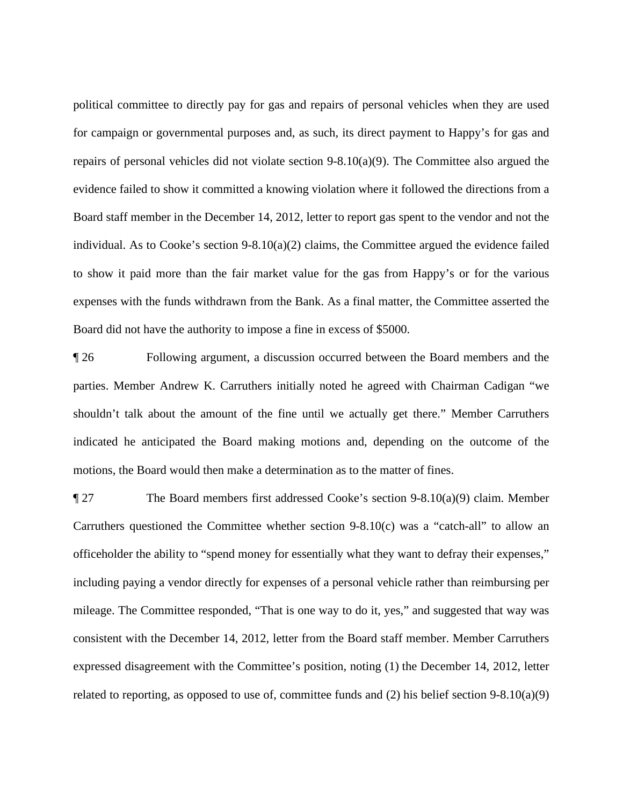Board staff member in the December 14, 2012, letter to report gas spent to the vendor and not the expenses with the funds withdrawn from the Bank. As a final matter, the Committee asserted the political committee to directly pay for gas and repairs of personal vehicles when they are used for campaign or governmental purposes and, as such, its direct payment to Happy's for gas and repairs of personal vehicles did not violate section 9-8.10(a)(9). The Committee also argued the evidence failed to show it committed a knowing violation where it followed the directions from a individual. As to Cooke's section  $9-8.10(a)(2)$  claims, the Committee argued the evidence failed to show it paid more than the fair market value for the gas from Happy's or for the various Board did not have the authority to impose a fine in excess of \$5000.

 ¶ 26 Following argument, a discussion occurred between the Board members and the parties. Member Andrew K. Carruthers initially noted he agreed with Chairman Cadigan "we shouldn't talk about the amount of the fine until we actually get there." Member Carruthers indicated he anticipated the Board making motions and, depending on the outcome of the motions, the Board would then make a determination as to the matter of fines.

 expressed disagreement with the Committee's position, noting (1) the December 14, 2012, letter related to reporting, as opposed to use of, committee funds and (2) his belief section 9-8.10(a)(9) ¶ 27 The Board members first addressed Cooke's section 9-8.10(a)(9) claim. Member Carruthers questioned the Committee whether section 9-8.10(c) was a "catch-all" to allow an officeholder the ability to "spend money for essentially what they want to defray their expenses," including paying a vendor directly for expenses of a personal vehicle rather than reimbursing per mileage. The Committee responded, "That is one way to do it, yes," and suggested that way was consistent with the December 14, 2012, letter from the Board staff member. Member Carruthers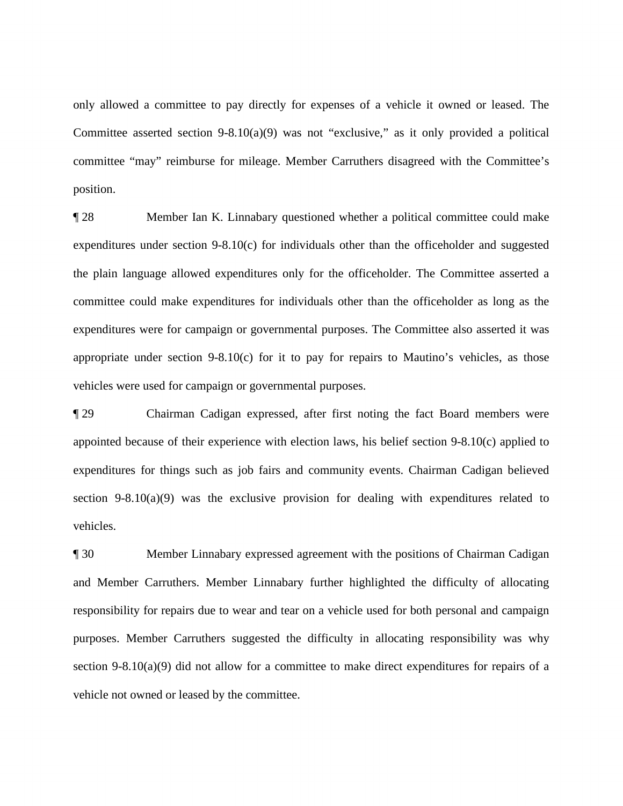only allowed a committee to pay directly for expenses of a vehicle it owned or leased. The Committee asserted section 9-8.10(a)(9) was not "exclusive," as it only provided a political committee "may" reimburse for mileage. Member Carruthers disagreed with the Committee's position.

 vehicles were used for campaign or governmental purposes. ¶ 28 Member Ian K. Linnabary questioned whether a political committee could make expenditures under section 9-8.10(c) for individuals other than the officeholder and suggested the plain language allowed expenditures only for the officeholder. The Committee asserted a committee could make expenditures for individuals other than the officeholder as long as the expenditures were for campaign or governmental purposes. The Committee also asserted it was appropriate under section 9-8.10(c) for it to pay for repairs to Mautino's vehicles, as those

 expenditures for things such as job fairs and community events. Chairman Cadigan believed ¶ 29 Chairman Cadigan expressed, after first noting the fact Board members were appointed because of their experience with election laws, his belief section 9-8.10(c) applied to section 9-8.10(a)(9) was the exclusive provision for dealing with expenditures related to vehicles.

¶ 30 Member Linnabary expressed agreement with the positions of Chairman Cadigan and Member Carruthers. Member Linnabary further highlighted the difficulty of allocating responsibility for repairs due to wear and tear on a vehicle used for both personal and campaign purposes. Member Carruthers suggested the difficulty in allocating responsibility was why section 9-8.10(a)(9) did not allow for a committee to make direct expenditures for repairs of a vehicle not owned or leased by the committee.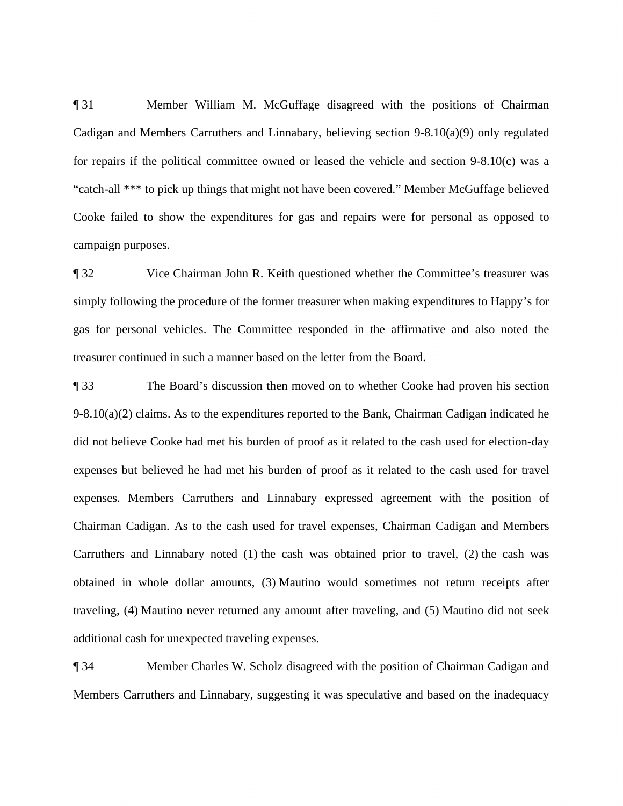¶ 31 Member William M. McGuffage disagreed with the positions of Chairman Cadigan and Members Carruthers and Linnabary, believing section 9-8.10(a)(9) only regulated for repairs if the political committee owned or leased the vehicle and section 9-8.10(c) was a "catch-all \*\*\* to pick up things that might not have been covered." Member McGuffage believed Cooke failed to show the expenditures for gas and repairs were for personal as opposed to campaign purposes.

 ¶ 32 Vice Chairman John R. Keith questioned whether the Committee's treasurer was simply following the procedure of the former treasurer when making expenditures to Happy's for gas for personal vehicles. The Committee responded in the affirmative and also noted the treasurer continued in such a manner based on the letter from the Board.

 Carruthers and Linnabary noted (1) the cash was obtained prior to travel, (2) the cash was traveling, (4) Mautino never returned any amount after traveling, and (5) Mautino did not seek ¶ 33 The Board's discussion then moved on to whether Cooke had proven his section 9-8.10(a)(2) claims. As to the expenditures reported to the Bank, Chairman Cadigan indicated he did not believe Cooke had met his burden of proof as it related to the cash used for election-day expenses but believed he had met his burden of proof as it related to the cash used for travel expenses. Members Carruthers and Linnabary expressed agreement with the position of Chairman Cadigan. As to the cash used for travel expenses, Chairman Cadigan and Members obtained in whole dollar amounts, (3) Mautino would sometimes not return receipts after additional cash for unexpected traveling expenses.

¶ 34 Member Charles W. Scholz disagreed with the position of Chairman Cadigan and Members Carruthers and Linnabary, suggesting it was speculative and based on the inadequacy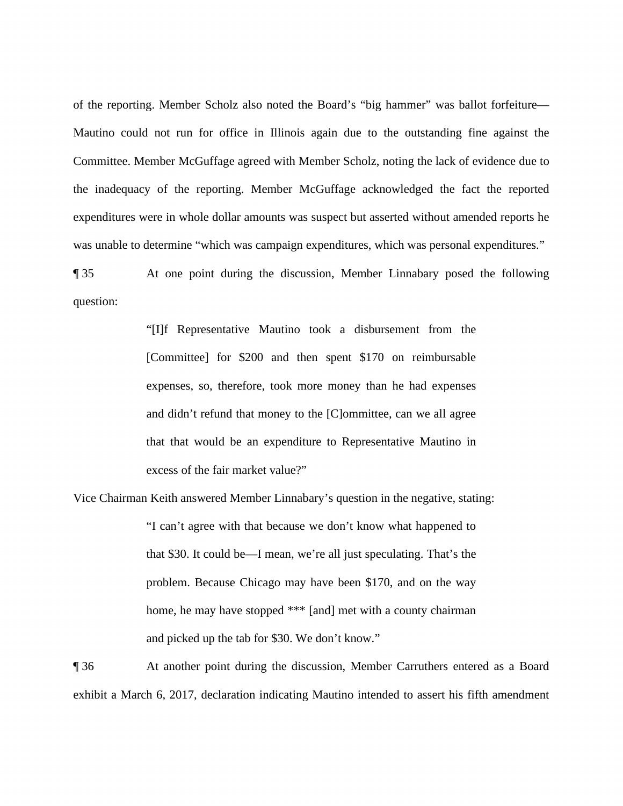was unable to determine "which was campaign expenditures, which was personal expenditures." of the reporting. Member Scholz also noted the Board's "big hammer" was ballot forfeiture— Mautino could not run for office in Illinois again due to the outstanding fine against the Committee. Member McGuffage agreed with Member Scholz, noting the lack of evidence due to the inadequacy of the reporting. Member McGuffage acknowledged the fact the reported expenditures were in whole dollar amounts was suspect but asserted without amended reports he

question: ¶ 35 At one point during the discussion, Member Linnabary posed the following

> "[I]f Representative Mautino took a disbursement from the [Committee] for \$200 and then spent \$170 on reimbursable expenses, so, therefore, took more money than he had expenses and didn't refund that money to the [C]ommittee, can we all agree that that would be an expenditure to Representative Mautino in excess of the fair market value?"

 Vice Chairman Keith answered Member Linnabary's question in the negative, stating: "I can't agree with that because we don't know what happened to "I can't agree with that because we don't know what happened to and picked up the tab for \$30. We don't know." that \$30. It could be—I mean, we're all just speculating. That's the problem. Because Chicago may have been \$170, and on the way home, he may have stopped \*\*\* [and] met with a county chairman

**1.** The 36 At another point during the discussion, Member Carruthers entered as a Board exhibit a March 6, 2017, declaration indicating Mautino intended to assert his fifth amendment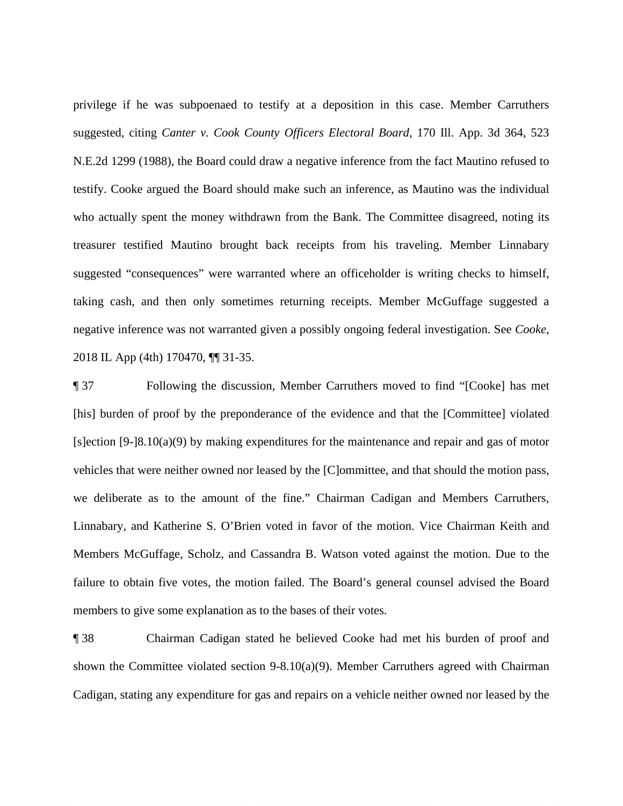privilege if he was subpoenaed to testify at a deposition in this case. Member Carruthers suggested, citing *Canter v. Cook County Officers Electoral Board*, 170 Ill. App. 3d 364, 523 N.E.2d 1299 (1988), the Board could draw a negative inference from the fact Mautino refused to testify. Cooke argued the Board should make such an inference, as Mautino was the individual who actually spent the money withdrawn from the Bank. The Committee disagreed, noting its treasurer testified Mautino brought back receipts from his traveling. Member Linnabary suggested "consequences" were warranted where an officeholder is writing checks to himself, taking cash, and then only sometimes returning receipts. Member McGuffage suggested a negative inference was not warranted given a possibly ongoing federal investigation. See *Cooke*, 2018 IL App (4th) 170470, ¶¶ 31-35.

 we deliberate as to the amount of the fine." Chairman Cadigan and Members Carruthers, ¶ 37 Following the discussion, Member Carruthers moved to find "[Cooke] has met [his] burden of proof by the preponderance of the evidence and that the [Committee] violated [s]ection [9-]8.10(a)(9) by making expenditures for the maintenance and repair and gas of motor vehicles that were neither owned nor leased by the [C]ommittee, and that should the motion pass, Linnabary, and Katherine S. O'Brien voted in favor of the motion. Vice Chairman Keith and Members McGuffage, Scholz, and Cassandra B. Watson voted against the motion. Due to the failure to obtain five votes, the motion failed. The Board's general counsel advised the Board members to give some explanation as to the bases of their votes.

¶ 38 Chairman Cadigan stated he believed Cooke had met his burden of proof and shown the Committee violated section  $9-8.10(a)(9)$ . Member Carruthers agreed with Chairman Cadigan, stating any expenditure for gas and repairs on a vehicle neither owned nor leased by the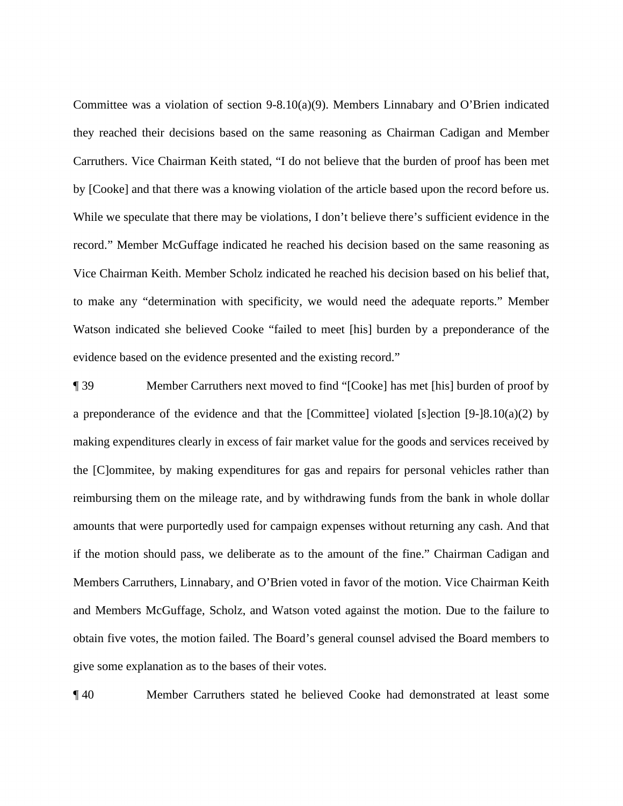evidence based on the evidence presented and the existing record." Committee was a violation of section  $9-8.10(a)(9)$ . Members Linnabary and O'Brien indicated they reached their decisions based on the same reasoning as Chairman Cadigan and Member Carruthers. Vice Chairman Keith stated, "I do not believe that the burden of proof has been met by [Cooke] and that there was a knowing violation of the article based upon the record before us. While we speculate that there may be violations, I don't believe there's sufficient evidence in the record." Member McGuffage indicated he reached his decision based on the same reasoning as Vice Chairman Keith. Member Scholz indicated he reached his decision based on his belief that, to make any "determination with specificity, we would need the adequate reports." Member Watson indicated she believed Cooke "failed to meet [his] burden by a preponderance of the

 a preponderance of the evidence and that the [Committee] violated [s]ection [9-]8.10(a)(2) by 19 Member Carruthers next moved to find "[Cooke] has met [his] burden of proof by making expenditures clearly in excess of fair market value for the goods and services received by the [C]ommitee, by making expenditures for gas and repairs for personal vehicles rather than reimbursing them on the mileage rate, and by withdrawing funds from the bank in whole dollar amounts that were purportedly used for campaign expenses without returning any cash. And that if the motion should pass, we deliberate as to the amount of the fine." Chairman Cadigan and Members Carruthers, Linnabary, and O'Brien voted in favor of the motion. Vice Chairman Keith and Members McGuffage, Scholz, and Watson voted against the motion. Due to the failure to obtain five votes, the motion failed. The Board's general counsel advised the Board members to give some explanation as to the bases of their votes.

¶ 40 Member Carruthers stated he believed Cooke had demonstrated at least some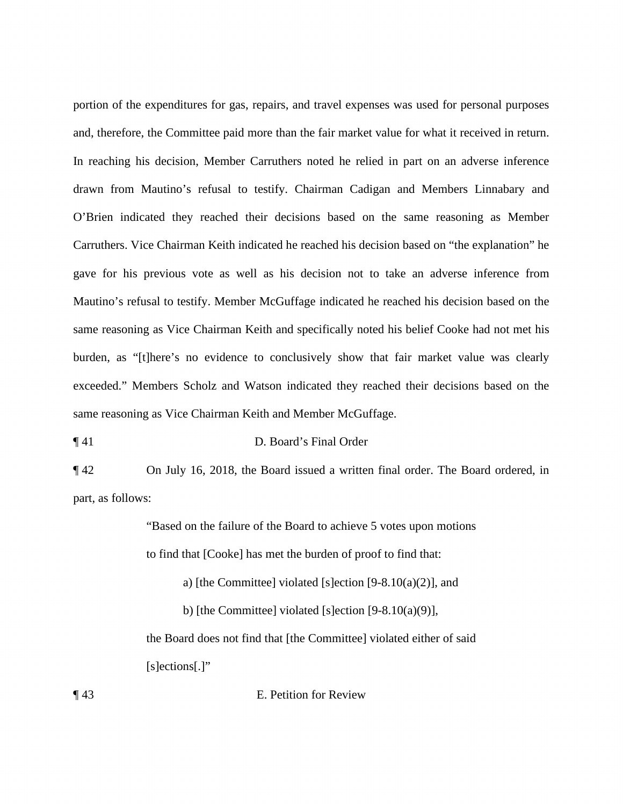gave for his previous vote as well as his decision not to take an adverse inference from Mautino's refusal to testify. Member McGuffage indicated he reached his decision based on the exceeded." Members Scholz and Watson indicated they reached their decisions based on the portion of the expenditures for gas, repairs, and travel expenses was used for personal purposes and, therefore, the Committee paid more than the fair market value for what it received in return. In reaching his decision, Member Carruthers noted he relied in part on an adverse inference drawn from Mautino's refusal to testify. Chairman Cadigan and Members Linnabary and O'Brien indicated they reached their decisions based on the same reasoning as Member Carruthers. Vice Chairman Keith indicated he reached his decision based on "the explanation" he same reasoning as Vice Chairman Keith and specifically noted his belief Cooke had not met his burden, as "[t]here's no evidence to conclusively show that fair market value was clearly same reasoning as Vice Chairman Keith and Member McGuffage.

¶ 41 D. Board's Final Order

part, as follows: ¶ 42 On July 16, 2018, the Board issued a written final order. The Board ordered, in

"Based on the failure of the Board to achieve 5 votes upon motions"

to find that [Cooke] has met the burden of proof to find that:

a) [the Committee] violated [s]ection  $[9-8.10(a)(2)]$ , and

b) [the Committee] violated [s]ection  $[9-8.10(a)(9)]$ ,

the Board does not find that [the Committee] violated either of said [s]ections[.]"

¶ 43 E. Petition for Review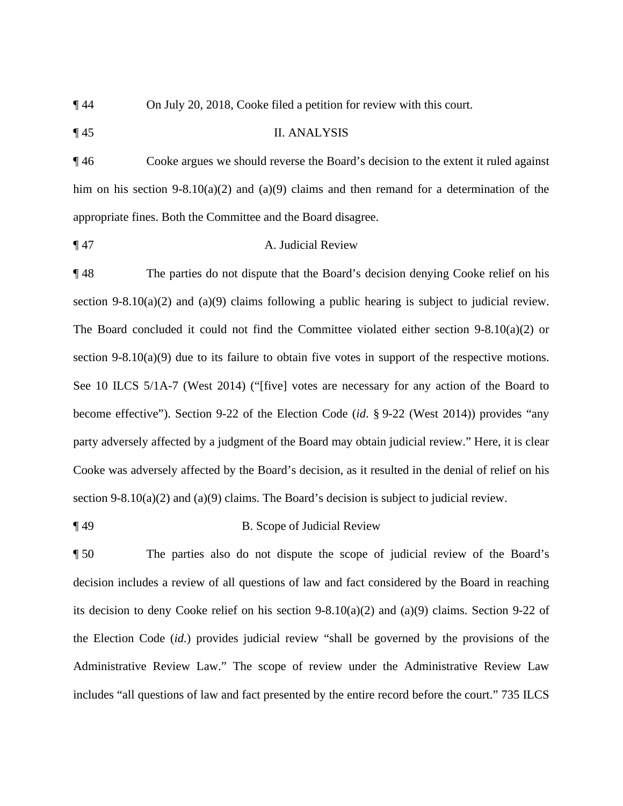¶ 44 On July 20, 2018, Cooke filed a petition for review with this court.

¶ 45 II. ANALYSIS

¶ 46 Cooke argues we should reverse the Board's decision to the extent it ruled against him on his section 9-8.10(a)(2) and (a)(9) claims and then remand for a determination of the appropriate fines. Both the Committee and the Board disagree.

#### ¶ 47 A. Judicial Review

 ¶ 48 The parties do not dispute that the Board's decision denying Cooke relief on his The Board concluded it could not find the Committee violated either section 9-8.10(a)(2) or section 9-8.10(a)(2) and (a)(9) claims. The Board's decision is subject to judicial review. section 9-8.10(a)(2) and (a)(9) claims following a public hearing is subject to judicial review. section 9-8.10(a)(9) due to its failure to obtain five votes in support of the respective motions. See 10 ILCS 5/1A-7 (West 2014) ("[five] votes are necessary for any action of the Board to become effective"). Section 9-22 of the Election Code (*id*. § 9-22 (West 2014)) provides "any party adversely affected by a judgment of the Board may obtain judicial review." Here, it is clear Cooke was adversely affected by the Board's decision, as it resulted in the denial of relief on his

¶ 49 B. Scope of Judicial Review

 ¶ 50 The parties also do not dispute the scope of judicial review of the Board's decision includes a review of all questions of law and fact considered by the Board in reaching its decision to deny Cooke relief on his section  $9-8.10(a)(2)$  and  $(a)(9)$  claims. Section  $9-22$  of the Election Code (*id.*) provides judicial review "shall be governed by the provisions of the Administrative Review Law." The scope of review under the Administrative Review Law includes "all questions of law and fact presented by the entire record before the court." 735 ILCS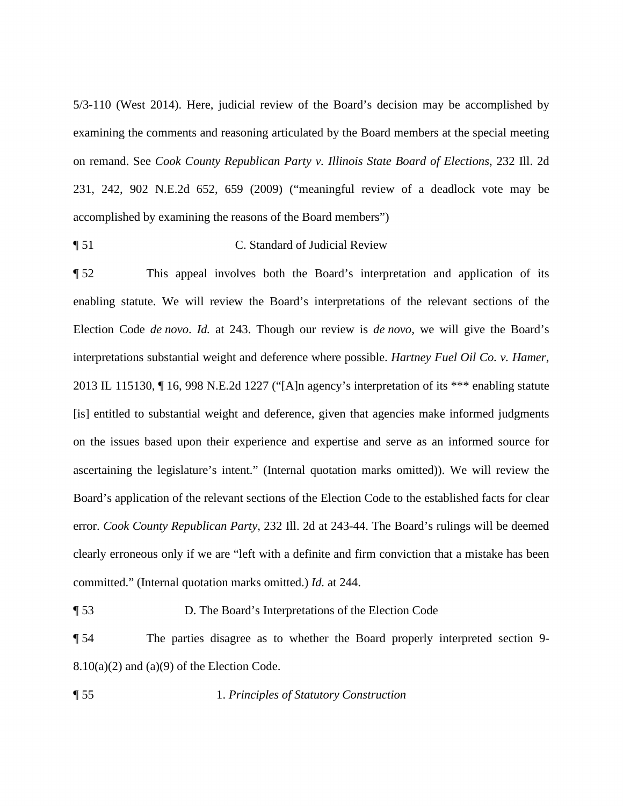5/3-110 (West 2014). Here, judicial review of the Board's decision may be accomplished by examining the comments and reasoning articulated by the Board members at the special meeting on remand. See *Cook County Republican Party v. Illinois State Board of Elections*, 232 Ill. 2d 231, 242, 902 N.E.2d 652, 659 (2009) ("meaningful review of a deadlock vote may be accomplished by examining the reasons of the Board members")

¶ 51 C. Standard of Judicial Review

 Election Code *de novo*. *Id.* at 243. Though our review is *de novo*, we will give the Board's ¶ 52 This appeal involves both the Board's interpretation and application of its enabling statute. We will review the Board's interpretations of the relevant sections of the interpretations substantial weight and deference where possible. *Hartney Fuel Oil Co. v. Hamer*, 2013 IL 115130, ¶ 16, 998 N.E.2d 1227 ("[A]n agency's interpretation of its \*\*\* enabling statute [is] entitled to substantial weight and deference, given that agencies make informed judgments on the issues based upon their experience and expertise and serve as an informed source for ascertaining the legislature's intent." (Internal quotation marks omitted)). We will review the Board's application of the relevant sections of the Election Code to the established facts for clear error. *Cook County Republican Party*, 232 Ill. 2d at 243-44. The Board's rulings will be deemed clearly erroneous only if we are "left with a definite and firm conviction that a mistake has been committed." (Internal quotation marks omitted.) *Id.* at 244.

¶ 53 D. The Board's Interpretations of the Election Code

¶ 54 The parties disagree as to whether the Board properly interpreted section 9-  $8.10(a)(2)$  and  $(a)(9)$  of the Election Code.

¶ 55 1. *Principles of Statutory Construction*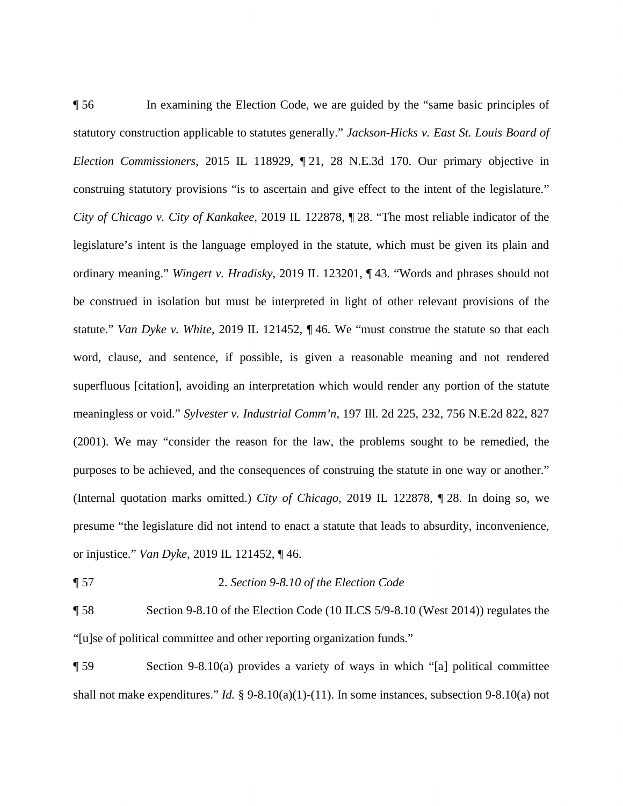construing statutory provisions "is to ascertain and give effect to the intent of the legislature." legislature's intent is the language employed in the statute, which must be given its plain and ¶ 56 In examining the Election Code, we are guided by the "same basic principles of statutory construction applicable to statutes generally." *Jackson-Hicks v. East St. Louis Board of Election Commissioners*, 2015 IL 118929, ¶ 21, 28 N.E.3d 170. Our primary objective in *City of Chicago v. City of Kankakee*, 2019 IL 122878, ¶ 28. "The most reliable indicator of the ordinary meaning." *Wingert v. Hradisky*, 2019 IL 123201, ¶ 43. "Words and phrases should not be construed in isolation but must be interpreted in light of other relevant provisions of the statute." *Van Dyke v. White*, 2019 IL 121452, ¶ 46. We "must construe the statute so that each word, clause, and sentence, if possible, is given a reasonable meaning and not rendered superfluous [citation], avoiding an interpretation which would render any portion of the statute meaningless or void." *Sylvester v. Industrial Comm'n*, 197 Ill. 2d 225, 232, 756 N.E.2d 822, 827 (2001). We may "consider the reason for the law, the problems sought to be remedied, the purposes to be achieved, and the consequences of construing the statute in one way or another." (Internal quotation marks omitted.) *City of Chicago*, 2019 IL 122878, ¶ 28. In doing so, we presume "the legislature did not intend to enact a statute that leads to absurdity, inconvenience, or injustice." *Van Dyke*, 2019 IL 121452, ¶ 46.

### ¶ 57 2. *Section 9-8.10 of the Election Code*

"[u]se of political committee and other reporting organization funds." ¶ 58 Section 9-8.10 of the Election Code (10 ILCS [5/9-8.10](https://5/9-8.10) (West 2014)) regulates the

 $\lceil 59 \rceil$  Section 9-8.10(a) provides a variety of ways in which "[a] political committee shall not make expenditures." *Id.* § 9-8.10(a)(1)-(11). In some instances, subsection 9-8.10(a) not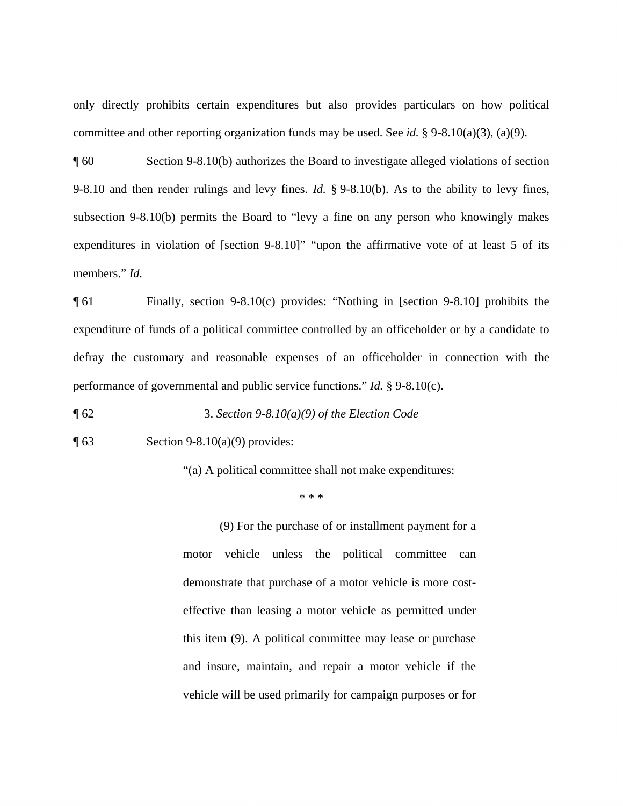only directly prohibits certain expenditures but also provides particulars on how political committee and other reporting organization funds may be used. See *id.* § 9-8.10(a)(3), (a)(9).

¶ 60 Section 9-8.10(b) authorizes the Board to investigate alleged violations of section 9-8.10 and then render rulings and levy fines. *Id.* § 9-8.10(b). As to the ability to levy fines, subsection 9-8.10(b) permits the Board to "levy a fine on any person who knowingly makes expenditures in violation of [section 9-8.10]" "upon the affirmative vote of at least 5 of its members." *Id.* 

¶ 61 Finally, section 9-8.10(c) provides: "Nothing in [section 9-8.10] prohibits the expenditure of funds of a political committee controlled by an officeholder or by a candidate to defray the customary and reasonable expenses of an officeholder in connection with the performance of governmental and public service functions." *Id.* § 9-8.10(c).

¶ 62 3. *Section 9-8.10(a)(9) of the Election Code* 

Section 9-8.10(a)(9) provides:

 $\parallel$  63 Section 9-8.10(a)(9) provides:<br>
"(a) A political committee shall not make expenditures:

\* \* \*

(9) For the purchase of or installment payment for a motor vehicle unless the political committee can demonstrate that purchase of a motor vehicle is more costeffective than leasing a motor vehicle as permitted under this item (9). A political committee may lease or purchase and insure, maintain, and repair a motor vehicle if the vehicle will be used primarily for campaign purposes or for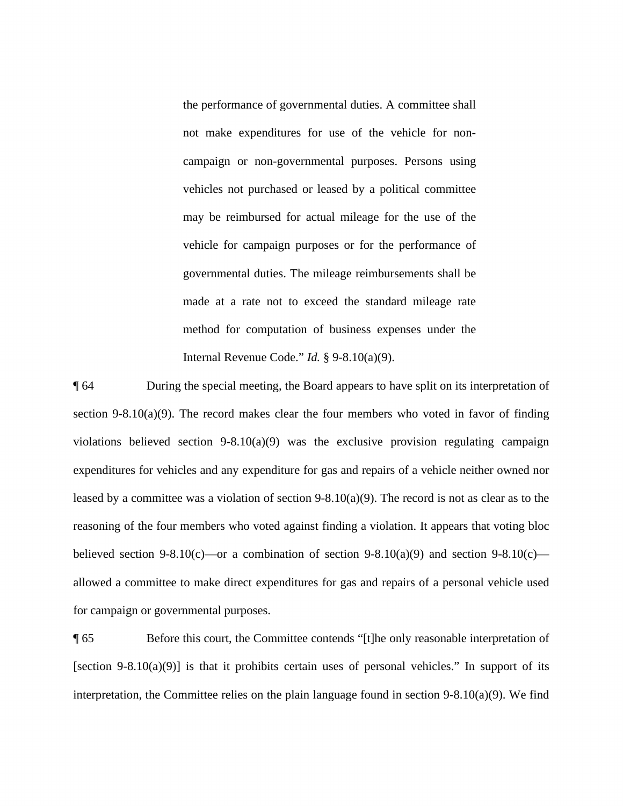vehicle for campaign purposes or for the performance of method for computation of business expenses under the the performance of governmental duties. A committee shall not make expenditures for use of the vehicle for noncampaign or non-governmental purposes. Persons using vehicles not purchased or leased by a political committee may be reimbursed for actual mileage for the use of the governmental duties. The mileage reimbursements shall be made at a rate not to exceed the standard mileage rate Internal Revenue Code." *Id.* § 9-8.10(a)(9).

 allowed a committee to make direct expenditures for gas and repairs of a personal vehicle used ¶ 64 During the special meeting, the Board appears to have split on its interpretation of section 9-8.10(a)(9). The record makes clear the four members who voted in favor of finding violations believed section  $9-8.10(a)(9)$  was the exclusive provision regulating campaign expenditures for vehicles and any expenditure for gas and repairs of a vehicle neither owned nor leased by a committee was a violation of section  $9-8.10(a)(9)$ . The record is not as clear as to the reasoning of the four members who voted against finding a violation. It appears that voting bloc believed section 9-8.10(c)—or a combination of section 9-8.10(a)(9) and section 9-8.10(c) for campaign or governmental purposes.

¶ 65 Before this court, the Committee contends "[t]he only reasonable interpretation of [section 9-8.10(a)(9)] is that it prohibits certain uses of personal vehicles." In support of its interpretation, the Committee relies on the plain language found in section 9-8.10(a)(9). We find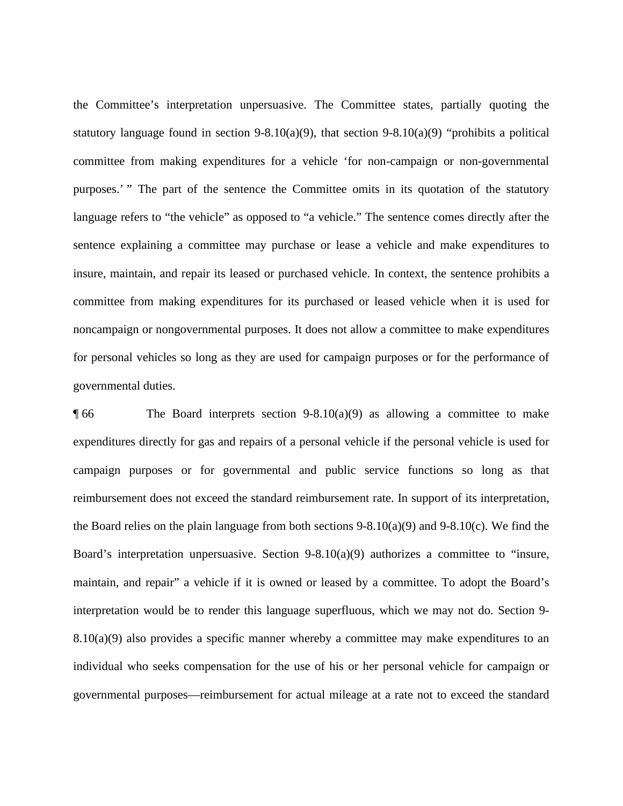language refers to "the vehicle" as opposed to "a vehicle." The sentence comes directly after the the Committee's interpretation unpersuasive. The Committee states, partially quoting the statutory language found in section 9-8.10(a)(9), that section 9-8.10(a)(9) "prohibits a political committee from making expenditures for a vehicle 'for non-campaign or non-governmental purposes.' " The part of the sentence the Committee omits in its quotation of the statutory sentence explaining a committee may purchase or lease a vehicle and make expenditures to insure, maintain, and repair its leased or purchased vehicle. In context, the sentence prohibits a committee from making expenditures for its purchased or leased vehicle when it is used for noncampaign or nongovernmental purposes. It does not allow a committee to make expenditures for personal vehicles so long as they are used for campaign purposes or for the performance of governmental duties.

 the Board relies on the plain language from both sections 9-8.10(a)(9) and 9-8.10(c). We find the governmental purposes—reimbursement for actual mileage at a rate not to exceed the standard  $\parallel$  66 The Board interprets section 9-8.10(a)(9) as allowing a committee to make expenditures directly for gas and repairs of a personal vehicle if the personal vehicle is used for campaign purposes or for governmental and public service functions so long as that reimbursement does not exceed the standard reimbursement rate. In support of its interpretation, Board's interpretation unpersuasive. Section 9-8.10(a)(9) authorizes a committee to "insure, maintain, and repair" a vehicle if it is owned or leased by a committee. To adopt the Board's interpretation would be to render this language superfluous, which we may not do. Section 9-  $8.10(a)(9)$  also provides a specific manner whereby a committee may make expenditures to an individual who seeks compensation for the use of his or her personal vehicle for campaign or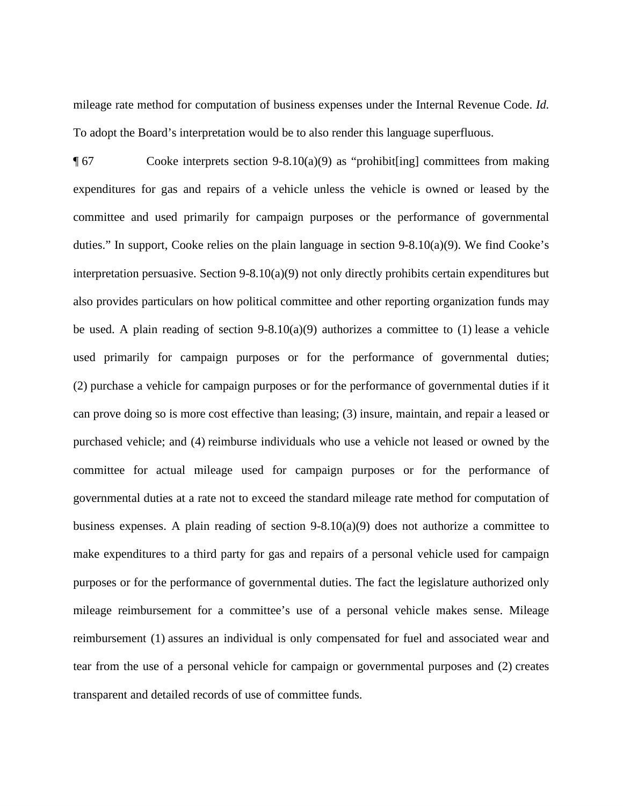mileage rate method for computation of business expenses under the Internal Revenue Code. *Id.*  To adopt the Board's interpretation would be to also render this language superfluous.

 expenditures for gas and repairs of a vehicle unless the vehicle is owned or leased by the make expenditures to a third party for gas and repairs of a personal vehicle used for campaign ¶ 67 Cooke interprets section 9-8.10(a)(9) as "prohibit[ing] committees from making committee and used primarily for campaign purposes or the performance of governmental duties." In support, Cooke relies on the plain language in section 9-8.10(a)(9). We find Cooke's interpretation persuasive. Section 9-8.10(a)(9) not only directly prohibits certain expenditures but also provides particulars on how political committee and other reporting organization funds may be used. A plain reading of section  $9-8.10(a)(9)$  authorizes a committee to (1) lease a vehicle used primarily for campaign purposes or for the performance of governmental duties; (2) purchase a vehicle for campaign purposes or for the performance of governmental duties if it can prove doing so is more cost effective than leasing; (3) insure, maintain, and repair a leased or purchased vehicle; and (4) reimburse individuals who use a vehicle not leased or owned by the committee for actual mileage used for campaign purposes or for the performance of governmental duties at a rate not to exceed the standard mileage rate method for computation of business expenses. A plain reading of section  $9-8.10(a)(9)$  does not authorize a committee to purposes or for the performance of governmental duties. The fact the legislature authorized only mileage reimbursement for a committee's use of a personal vehicle makes sense. Mileage reimbursement (1) assures an individual is only compensated for fuel and associated wear and tear from the use of a personal vehicle for campaign or governmental purposes and (2) creates transparent and detailed records of use of committee funds.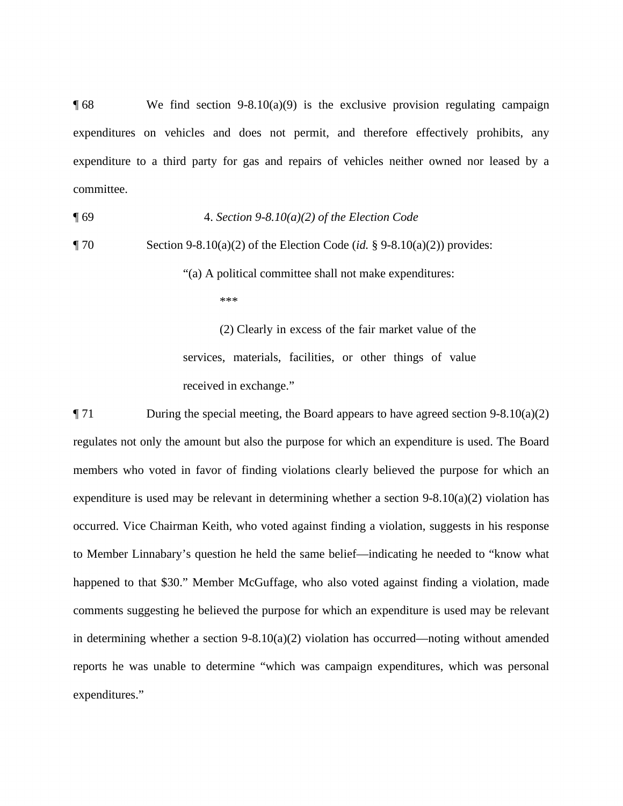$\P$  68 We find section 9-8.10(a)(9) is the exclusive provision regulating campaign expenditures on vehicles and does not permit, and therefore effectively prohibits, any expenditure to a third party for gas and repairs of vehicles neither owned nor leased by a committee.

¶ 69 4. *Section 9-8.10(a)(2) of the Election Code* 

¶ 70 Section 9-8.10(a)(2) of the Election Code (*id.* § 9-8.10(a)(2)) provides: "(a) A political committee shall not make expenditures:

\*\*\*

(2) Clearly in excess of the fair market value of the services, materials, facilities, or other things of value received in exchange."

 expenditures." ¶ 71 During the special meeting, the Board appears to have agreed section 9-8.10(a)(2) regulates not only the amount but also the purpose for which an expenditure is used. The Board members who voted in favor of finding violations clearly believed the purpose for which an expenditure is used may be relevant in determining whether a section 9-8.10(a)(2) violation has occurred. Vice Chairman Keith, who voted against finding a violation, suggests in his response to Member Linnabary's question he held the same belief—indicating he needed to "know what happened to that \$30." Member McGuffage, who also voted against finding a violation, made comments suggesting he believed the purpose for which an expenditure is used may be relevant in determining whether a section  $9-8.10(a)(2)$  violation has occurred—noting without amended reports he was unable to determine "which was campaign expenditures, which was personal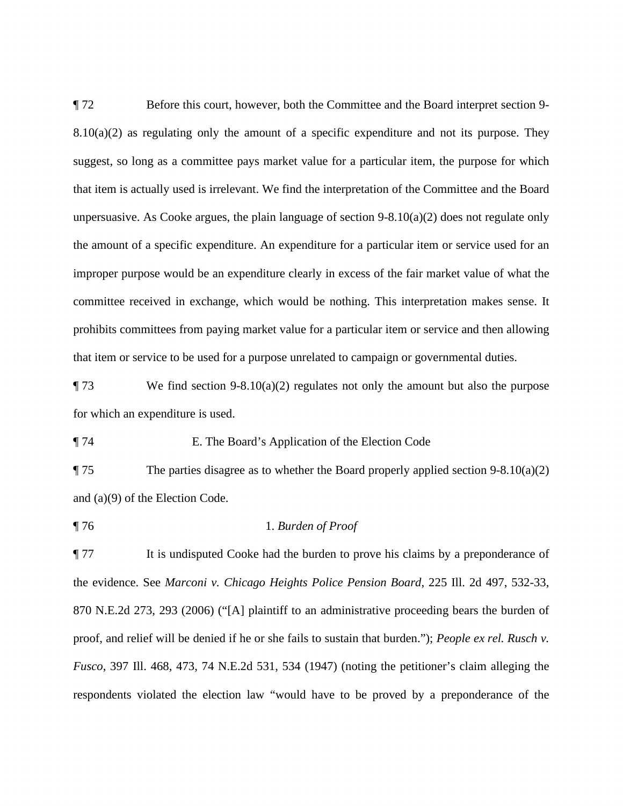committee received in exchange, which would be nothing. This interpretation makes sense. It ¶ 72 Before this court, however, both the Committee and the Board interpret section 9-  $8.10(a)(2)$  as regulating only the amount of a specific expenditure and not its purpose. They suggest, so long as a committee pays market value for a particular item, the purpose for which that item is actually used is irrelevant. We find the interpretation of the Committee and the Board unpersuasive. As Cooke argues, the plain language of section  $9-8.10(a)(2)$  does not regulate only the amount of a specific expenditure. An expenditure for a particular item or service used for an improper purpose would be an expenditure clearly in excess of the fair market value of what the prohibits committees from paying market value for a particular item or service and then allowing that item or service to be used for a purpose unrelated to campaign or governmental duties.

 $\P$  73 We find section 9-8.10(a)(2) regulates not only the amount but also the purpose for which an expenditure is used.

#### ¶ 74 E. The Board's Application of the Election Code

¶ 75 The parties disagree as to whether the Board properly applied section 9-8.10(a)(2) and (a)(9) of the Election Code.

#### ¶ 76 1. *Burden of Proof*

 proof, and relief will be denied if he or she fails to sustain that burden."); *People ex rel. Rusch v.*  ¶ 77 It is undisputed Cooke had the burden to prove his claims by a preponderance of the evidence. See *Marconi v. Chicago Heights Police Pension Board*, 225 Ill. 2d 497, 532-33, 870 N.E.2d 273, 293 (2006) ("[A] plaintiff to an administrative proceeding bears the burden of *Fusco*, 397 Ill. 468, 473, 74 N.E.2d 531, 534 (1947) (noting the petitioner's claim alleging the respondents violated the election law "would have to be proved by a preponderance of the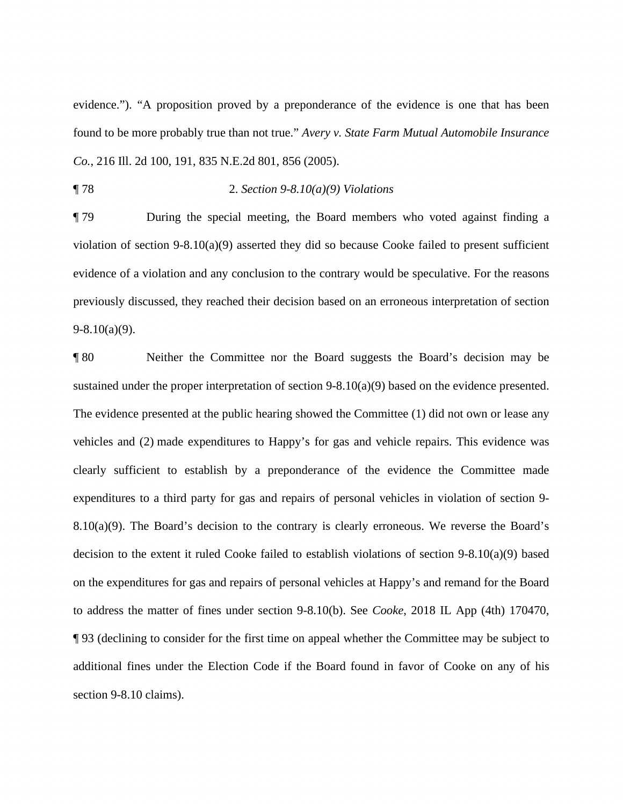evidence."). "A proposition proved by a preponderance of the evidence is one that has been found to be more probably true than not true." *Avery v. State Farm Mutual Automobile Insurance Co.*, 216 Ill. 2d 100, 191, 835 N.E.2d 801, 856 (2005).

¶ 78 2. *Section 9-8.10(a)(9) Violations* 

¶ 79 During the special meeting, the Board members who voted against finding a violation of section 9-8.10(a)(9) asserted they did so because Cooke failed to present sufficient evidence of a violation and any conclusion to the contrary would be speculative. For the reasons previously discussed, they reached their decision based on an erroneous interpretation of section  $9-8.10(a)(9)$ .

 vehicles and (2) made expenditures to Happy's for gas and vehicle repairs. This evidence was ¶ 93 (declining to consider for the first time on appeal whether the Committee may be subject to ¶ 80 Neither the Committee nor the Board suggests the Board's decision may be sustained under the proper interpretation of section 9-8.10(a)(9) based on the evidence presented. The evidence presented at the public hearing showed the Committee (1) did not own or lease any clearly sufficient to establish by a preponderance of the evidence the Committee made expenditures to a third party for gas and repairs of personal vehicles in violation of section 9- 8.10(a)(9). The Board's decision to the contrary is clearly erroneous. We reverse the Board's decision to the extent it ruled Cooke failed to establish violations of section 9-8.10(a)(9) based on the expenditures for gas and repairs of personal vehicles at Happy's and remand for the Board to address the matter of fines under section 9-8.10(b). See *Cooke*, 2018 IL App (4th) 170470, additional fines under the Election Code if the Board found in favor of Cooke on any of his section 9-8.10 claims).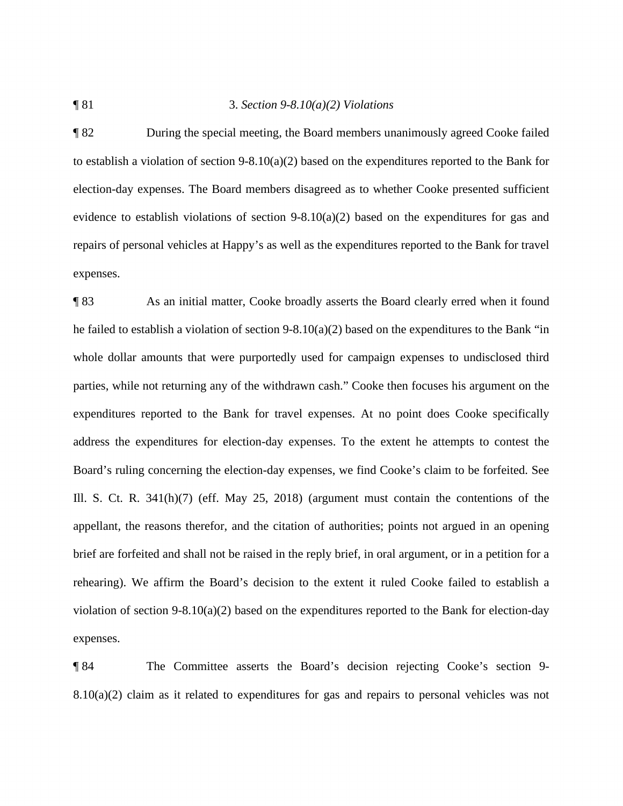#### ¶ 81 3. *Section 9-8.10(a)(2) Violations*

 repairs of personal vehicles at Happy's as well as the expenditures reported to the Bank for travel ¶ 82 During the special meeting, the Board members unanimously agreed Cooke failed to establish a violation of section  $9-8.10(a)(2)$  based on the expenditures reported to the Bank for election-day expenses. The Board members disagreed as to whether Cooke presented sufficient evidence to establish violations of section 9-8.10(a)(2) based on the expenditures for gas and expenses.

¶ 83 As an initial matter, Cooke broadly asserts the Board clearly erred when it found he failed to establish a violation of section 9-8.10(a)(2) based on the expenditures to the Bank "in whole dollar amounts that were purportedly used for campaign expenses to undisclosed third parties, while not returning any of the withdrawn cash." Cooke then focuses his argument on the expenditures reported to the Bank for travel expenses. At no point does Cooke specifically address the expenditures for election-day expenses. To the extent he attempts to contest the Board's ruling concerning the election-day expenses, we find Cooke's claim to be forfeited. See Ill. S. Ct. R. 341(h)(7) (eff. May 25, 2018) (argument must contain the contentions of the appellant, the reasons therefor, and the citation of authorities; points not argued in an opening brief are forfeited and shall not be raised in the reply brief, in oral argument, or in a petition for a rehearing). We affirm the Board's decision to the extent it ruled Cooke failed to establish a violation of section 9-8.10(a)(2) based on the expenditures reported to the Bank for election-day expenses.

¶ 84 The Committee asserts the Board's decision rejecting Cooke's section 9- 8.10(a)(2) claim as it related to expenditures for gas and repairs to personal vehicles was not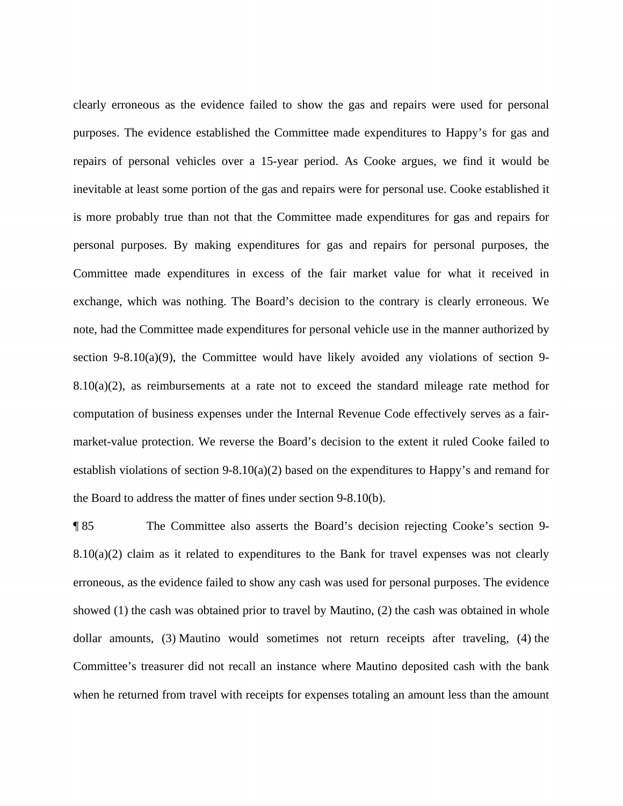clearly erroneous as the evidence failed to show the gas and repairs were used for personal purposes. The evidence established the Committee made expenditures to Happy's for gas and is more probably true than not that the Committee made expenditures for gas and repairs for computation of business expenses under the Internal Revenue Code effectively serves as a fair- establish violations of section 9-8.10(a)(2) based on the expenditures to Happy's and remand for repairs of personal vehicles over a 15-year period. As Cooke argues, we find it would be inevitable at least some portion of the gas and repairs were for personal use. Cooke established it personal purposes. By making expenditures for gas and repairs for personal purposes, the Committee made expenditures in excess of the fair market value for what it received in exchange, which was nothing. The Board's decision to the contrary is clearly erroneous. We note, had the Committee made expenditures for personal vehicle use in the manner authorized by section 9-8.10(a)(9), the Committee would have likely avoided any violations of section 9-8.10(a)(2), as reimbursements at a rate not to exceed the standard mileage rate method for market-value protection. We reverse the Board's decision to the extent it ruled Cooke failed to the Board to address the matter of fines under section 9-8.10(b).

 showed (1) the cash was obtained prior to travel by Mautino, (2) the cash was obtained in whole ¶ 85 The Committee also asserts the Board's decision rejecting Cooke's section 9- 8.10(a)(2) claim as it related to expenditures to the Bank for travel expenses was not clearly erroneous, as the evidence failed to show any cash was used for personal purposes. The evidence dollar amounts, (3) Mautino would sometimes not return receipts after traveling, (4) the Committee's treasurer did not recall an instance where Mautino deposited cash with the bank when he returned from travel with receipts for expenses totaling an amount less than the amount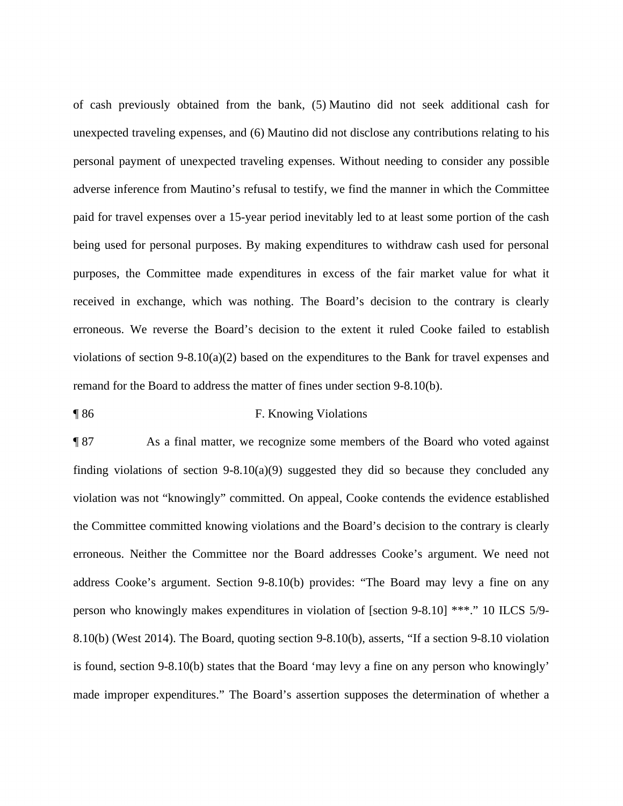of cash previously obtained from the bank, (5) Mautino did not seek additional cash for unexpected traveling expenses, and (6) Mautino did not disclose any contributions relating to his personal payment of unexpected traveling expenses. Without needing to consider any possible adverse inference from Mautino's refusal to testify, we find the manner in which the Committee paid for travel expenses over a 15-year period inevitably led to at least some portion of the cash being used for personal purposes. By making expenditures to withdraw cash used for personal purposes, the Committee made expenditures in excess of the fair market value for what it received in exchange, which was nothing. The Board's decision to the contrary is clearly erroneous. We reverse the Board's decision to the extent it ruled Cooke failed to establish violations of section 9-8.10(a)(2) based on the expenditures to the Bank for travel expenses and remand for the Board to address the matter of fines under section 9-8.10(b).

#### ¶ 86 F. Knowing Violations

 violation was not "knowingly" committed. On appeal, Cooke contends the evidence established ¶ 87 As a final matter, we recognize some members of the Board who voted against finding violations of section 9-8.10(a)(9) suggested they did so because they concluded any the Committee committed knowing violations and the Board's decision to the contrary is clearly erroneous. Neither the Committee nor the Board addresses Cooke's argument. We need not address Cooke's argument. Section 9-8.10(b) provides: "The Board may levy a fine on any person who knowingly makes expenditures in violation of [section 9-8.10] \*\*\*." 10 ILCS 5/9- 8.10(b) (West 2014). The Board, quoting section 9-8.10(b), asserts, "If a section 9-8.10 violation is found, section 9-8.10(b) states that the Board 'may levy a fine on any person who knowingly' made improper expenditures." The Board's assertion supposes the determination of whether a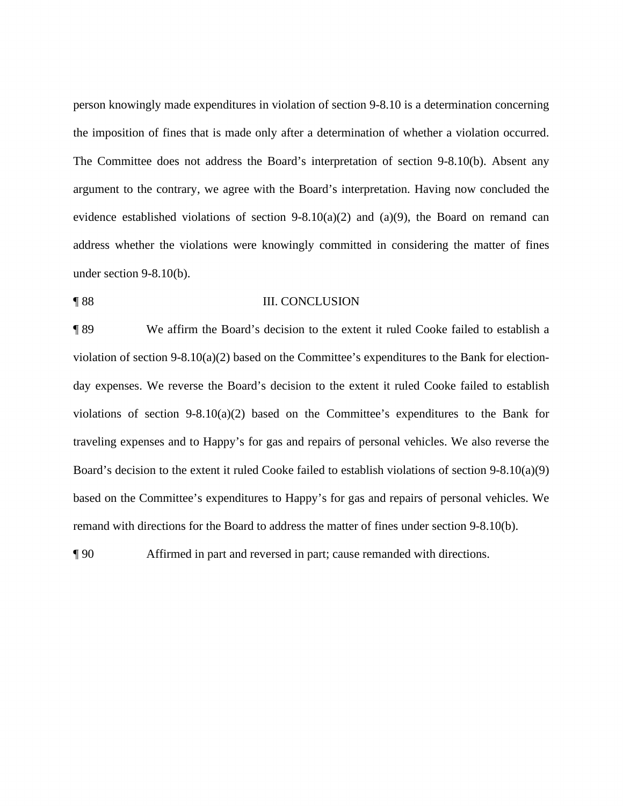person knowingly made expenditures in violation of section 9-8.10 is a determination concerning The Committee does not address the Board's interpretation of section 9-8.10(b). Absent any evidence established violations of section  $9-8.10(a)(2)$  and  $(a)(9)$ , the Board on remand can address whether the violations were knowingly committed in considering the matter of fines the imposition of fines that is made only after a determination of whether a violation occurred. argument to the contrary, we agree with the Board's interpretation. Having now concluded the under section 9-8.10(b).

#### ¶ 88 III. CONCLUSION

¶ 89 We affirm the Board's decision to the extent it ruled Cooke failed to establish a violation of section 9-8.10(a)(2) based on the Committee's expenditures to the Bank for electionday expenses. We reverse the Board's decision to the extent it ruled Cooke failed to establish violations of section 9-8.10(a)(2) based on the Committee's expenditures to the Bank for traveling expenses and to Happy's for gas and repairs of personal vehicles. We also reverse the Board's decision to the extent it ruled Cooke failed to establish violations of section 9-8.10(a)(9) based on the Committee's expenditures to Happy's for gas and repairs of personal vehicles. We remand with directions for the Board to address the matter of fines under section 9-8.10(b).

¶ 90 Affirmed in part and reversed in part; cause remanded with directions.